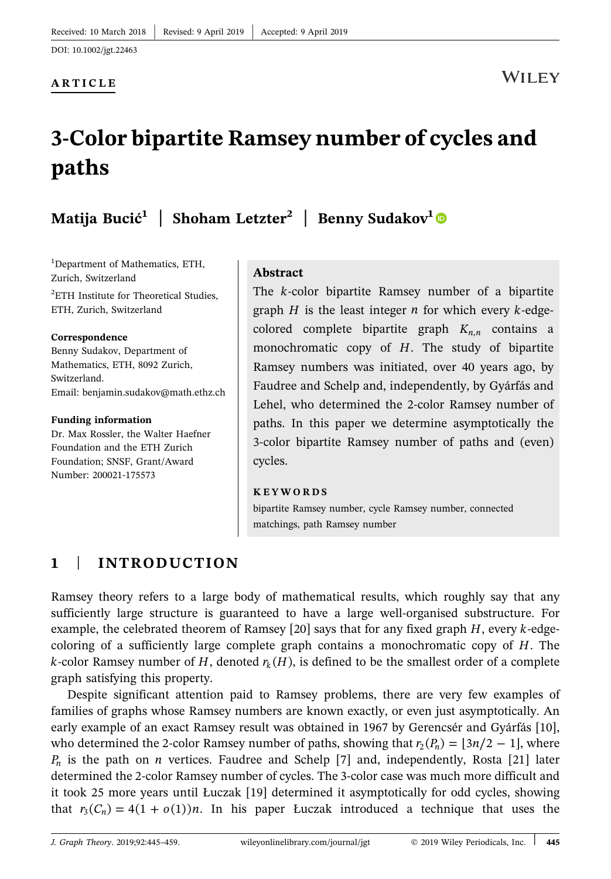#### ARTICLE

# 3‐Color bipartite Ramsey number of cycles and paths

Matija Bucić<sup>[1](http://orcid.org/0000-0003-3307-9475)</sup> | Shoham Letzter<sup>2</sup> | Benny Sudakov<sup>1</sup>

<sup>1</sup>Department of Mathematics, ETH, Zurich, Switzerland <sup>2</sup>ETH Institute for Theoretical Studies, ETH, Zurich, Switzerland

#### Correspondence

Benny Sudakov, Department of Mathematics, ETH, 8092 Zurich, Switzerland. Email: benjamin.sudakov@math.ethz.ch

#### Funding information

Dr. Max Rossler, the Walter Haefner Foundation and the ETH Zurich Foundation; SNSF, Grant/Award Number: 200021‐175573

#### Abstract

The *k*-color bipartite Ramsey number of a bipartite graph  $H$  is the least integer  $n$  for which every  $k$ -edgecolored complete bipartite graph  $K_{n,n}$  contains a monochromatic copy of *H*. The study of bipartite Ramsey numbers was initiated, over 40 years ago, by Faudree and Schelp and, independently, by Gyárfás and Lehel, who determined the 2‐color Ramsey number of paths. In this paper we determine asymptotically the 3‐color bipartite Ramsey number of paths and (even) cycles.

#### KEYWORDS

bipartite Ramsey number, cycle Ramsey number, connected matchings, path Ramsey number

# 1 | INTRODUCTION

Ramsey theory refers to a large body of mathematical results, which roughly say that any sufficiently large structure is guaranteed to have a large well‐organised substructure. For example, the celebrated theorem of Ramsey [20] says that for any fixed graph *H*, every *k*‐edge‐ coloring of a sufficiently large complete graph contains a monochromatic copy of *H*. The *k*-color Ramsey number of *H*, denoted  $r_k(H)$ , is defined to be the smallest order of a complete graph satisfying this property.

Despite significant attention paid to Ramsey problems, there are very few examples of families of graphs whose Ramsey numbers are known exactly, or even just asymptotically. An early example of an exact Ramsey result was obtained in 1967 by Gerencsér and Gyárfás [10], who determined the 2-color Ramsey number of paths, showing that  $r_2(P_n) = \frac{3n}{2} - 1$ , where  $P_n$  is the path on *n* vertices. Faudree and Schelp [7] and, independently, Rosta [21] later determined the 2‐color Ramsey number of cycles. The 3‐color case was much more difficult and it took 25 more years until Łuczak [19] determined it asymptotically for odd cycles, showing that  $r_3(C_n) = 4(1 + o(1))n$ . In his paper Łuczak introduced a technique that uses the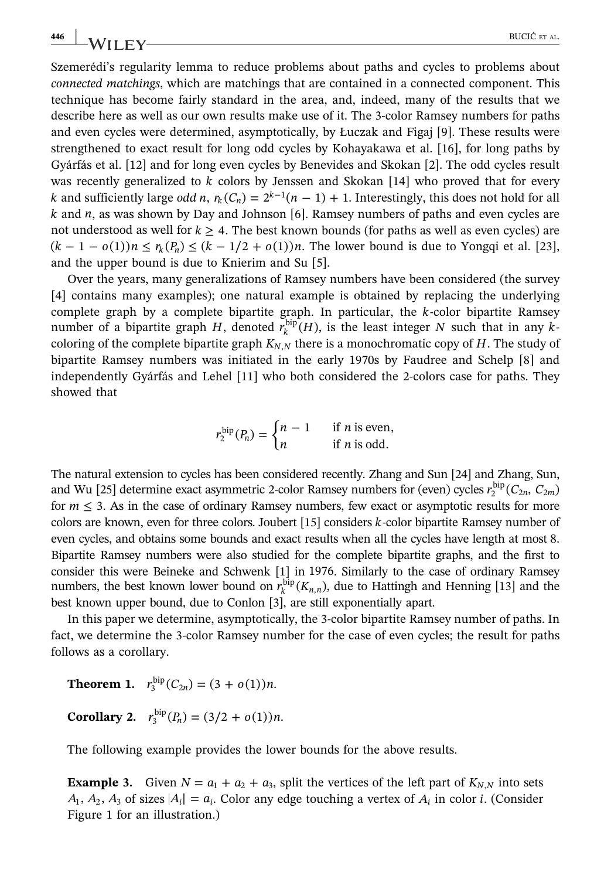Szemerédi's regularity lemma to reduce problems about paths and cycles to problems about connected matchings, which are matchings that are contained in a connected component. This technique has become fairly standard in the area, and, indeed, many of the results that we describe here as well as our own results make use of it. The 3‐color Ramsey numbers for paths and even cycles were determined, asymptotically, by Łuczak and Figaj [9]. These results were strengthened to exact result for long odd cycles by Kohayakawa et al. [16], for long paths by Gyárfás et al. [12] and for long even cycles by Benevides and Skokan [2]. The odd cycles result was recently generalized to *k* colors by Jenssen and Skokan [14] who proved that for every *k* and sufficiently large *odd n,*  $r_k$  ( $C_n$ ) =  $2^{k-1}(n-1) + 1$ . Interestingly, this does not hold for all *k* and *n*, as was shown by Day and Johnson [6]. Ramsey numbers of paths and even cycles are not understood as well for  $k \geq 4$ . The best known bounds (for paths as well as even cycles) are  $(k-1-o(1))n \le r_k(P_n) \le (k-1/2+o(1))n$ . The lower bound is due to Yongqi et al. [23], and the upper bound is due to Knierim and Su [5].

Over the years, many generalizations of Ramsey numbers have been considered (the survey [4] contains many examples); one natural example is obtained by replacing the underlying complete graph by a complete bipartite graph. In particular, the *k*‐color bipartite Ramsey number of a bipartite graph *H*, denoted  $r_k^{\text{bip}}(H)$ , is the least integer *N* such that in any *k*coloring of the complete bipartite graph  $K_{N,N}$  there is a monochromatic copy of  $H$ . The study of bipartite Ramsey numbers was initiated in the early 1970s by Faudree and Schelp [8] and independently Gyárfás and Lehel [11] who both considered the 2‐colors case for paths. They showed that

$$
r_2^{\text{bip}}(P_n) = \begin{cases} n-1 & \text{if } n \text{ is even,} \\ n & \text{if } n \text{ is odd.} \end{cases}
$$

The natural extension to cycles has been considered recently. Zhang and Sun [24] and Zhang, Sun, and Wu [25] determine exact asymmetric 2-color Ramsey numbers for (even) cycles  $r_2^{\text{bip}}(C_{2n}, C_{2m})$ for  $m \leq 3$ . As in the case of ordinary Ramsey numbers, few exact or asymptotic results for more colors are known, even for three colors. Joubert [15] considers *k*‐color bipartite Ramsey number of even cycles, and obtains some bounds and exact results when all the cycles have length at most 8. Bipartite Ramsey numbers were also studied for the complete bipartite graphs, and the first to consider this were Beineke and Schwenk [1] in 1976. Similarly to the case of ordinary Ramsey numbers, the best known lower bound on  $r_k^{\text{bip}}(K_{n,n})$ , due to Hattingh and Henning [13] and the best known upper bound, due to Conlon [3], are still exponentially apart.

In this paper we determine, asymptotically, the 3‐color bipartite Ramsey number of paths. In fact, we determine the 3‐color Ramsey number for the case of even cycles; the result for paths follows as a corollary.

**Theorem 1.**  $r_3^{\text{bip}}(C_{2n}) = (3 + o(1))n$ . **Corollary 2.**  $r_3^{\text{bip}}(P_n) = (3/2 + o(1))n$ .

The following example provides the lower bounds for the above results.

**Example 3.** Given  $N = a_1 + a_2 + a_3$ , split the vertices of the left part of  $K_{N,N}$  into sets  $A_1, A_2, A_3$  of sizes  $|A_i| = a_i$ . Color any edge touching a vertex of  $A_i$  in color *i*. (Consider Figure 1 for an illustration.)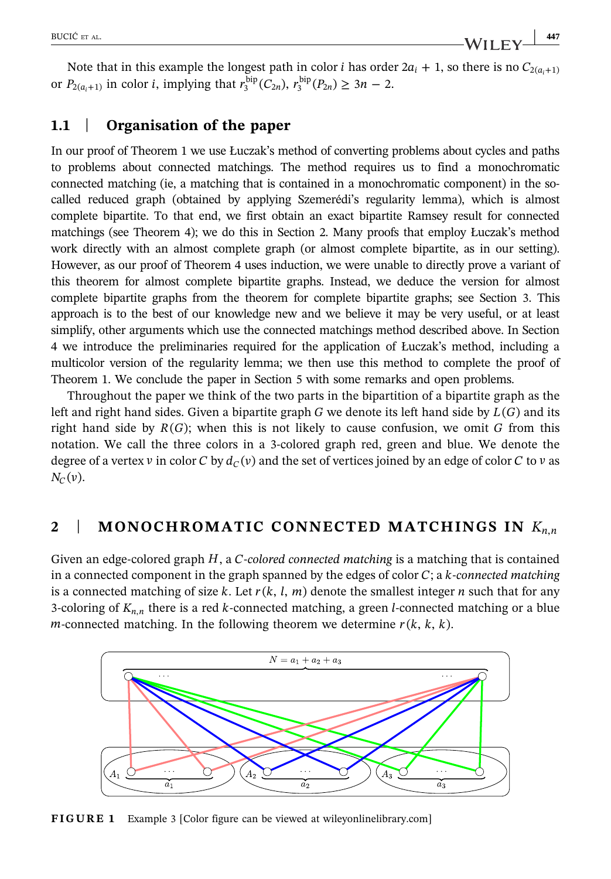Note that in this example the longest path in color *i* has order  $2a_i + 1$ , so there is no  $C_{2(a_{i+1})}$ or  $P_{2(a_i+1)}$  in color *i*, implying that  $r_3^{\text{bip}}(C_{2n})$ ,  $r_3^{\text{bip}}(P_{2n}) \ge 3n - 2$ .

## 1.1 | Organisation of the paper

In our proof of Theorem 1 we use Łuczak's method of converting problems about cycles and paths to problems about connected matchings. The method requires us to find a monochromatic connected matching (ie, a matching that is contained in a monochromatic component) in the socalled reduced graph (obtained by applying Szemerédi's regularity lemma), which is almost complete bipartite. To that end, we first obtain an exact bipartite Ramsey result for connected matchings (see Theorem 4); we do this in Section 2. Many proofs that employ Łuczak's method work directly with an almost complete graph (or almost complete bipartite, as in our setting). However, as our proof of Theorem 4 uses induction, we were unable to directly prove a variant of this theorem for almost complete bipartite graphs. Instead, we deduce the version for almost complete bipartite graphs from the theorem for complete bipartite graphs; see Section 3. This approach is to the best of our knowledge new and we believe it may be very useful, or at least simplify, other arguments which use the connected matchings method described above. In Section 4 we introduce the preliminaries required for the application of Łuczak's method, including a multicolor version of the regularity lemma; we then use this method to complete the proof of Theorem 1. We conclude the paper in Section 5 with some remarks and open problems.

Throughout the paper we think of the two parts in the bipartition of a bipartite graph as the left and right hand sides. Given a bipartite graph  $G$  we denote its left hand side by  $L(G)$  and its right hand side by  $R(G)$ ; when this is not likely to cause confusion, we omit G from this notation. We call the three colors in a 3‐colored graph red, green and blue. We denote the degree of a vertex *v* in color *C* by  $d_C(v)$  and the set of vertices joined by an edge of color *C* to *v* as  $N_C(v)$ .

## 2 | MONOCHROMATIC CONNECTED MATCHINGS IN  $K_{n,n}$

Given an edge-colored graph *H*, a *C*-colored connected matching is a matching that is contained in a connected component in the graph spanned by the edges of color *C*; a *k*‐connected matching is a connected matching of size *k*. Let  $r(k, l, m)$  denote the smallest integer *n* such that for any 3-coloring of  $K_{n,n}$  there is a red *k*-connected matching, a green *l*-connected matching or a blue *m*-connected matching. In the following theorem we determine  $r(k, k, k)$ .



FIGURE 1 Example 3 [Color figure can be viewed at wileyonlinelibrary.com]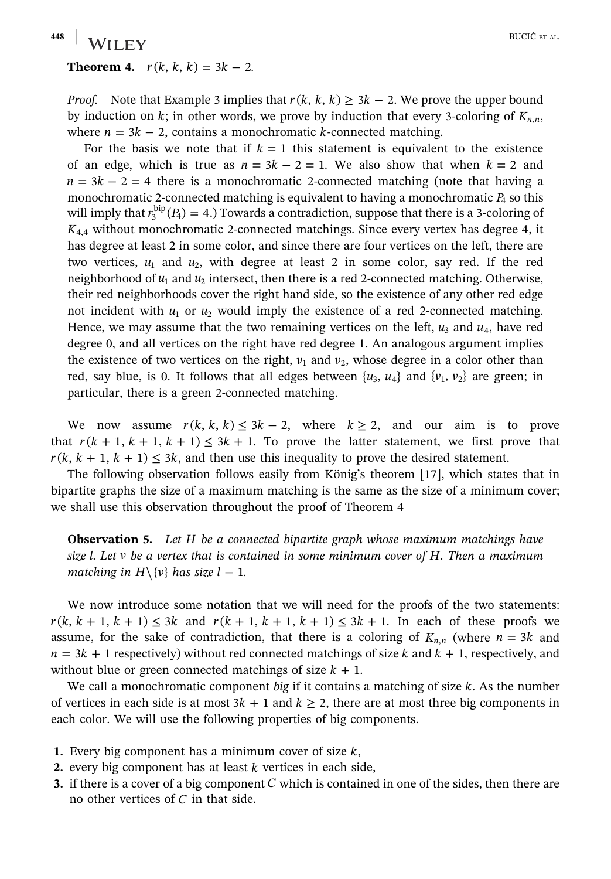# **448 IMAILEV** BUCIC ET AL.

## **Theorem 4.**  $r(k, k, k) = 3k - 2$ .

*Proof.* Note that Example 3 implies that  $r(k, k, k) \ge 3k - 2$ . We prove the upper bound by induction on  $k$ ; in other words, we prove by induction that every 3-coloring of  $K_{n,n}$ , where  $n = 3k - 2$ , contains a monochromatic *k*-connected matching.

For the basis we note that if  $k = 1$  this statement is equivalent to the existence of an edge, which is true as  $n = 3k - 2 = 1$ . We also show that when  $k = 2$  and  $n = 3k - 2 = 4$  there is a monochromatic 2-connected matching (note that having a monochromatic 2-connected matching is equivalent to having a monochromatic  $P_4$  so this will imply that  $r_3^{\text{bip}}(P_4) = 4$ .) Towards a contradiction, suppose that there is a 3-coloring of *K*4,4 without monochromatic 2‐connected matchings. Since every vertex has degree 4, it has degree at least 2 in some color, and since there are four vertices on the left, there are two vertices,  $u_1$  and  $u_2$ , with degree at least 2 in some color, say red. If the red neighborhood of  $u_1$  and  $u_2$  intersect, then there is a red 2-connected matching. Otherwise, their red neighborhoods cover the right hand side, so the existence of any other red edge not incident with  $u_1$  or  $u_2$  would imply the existence of a red 2-connected matching. Hence, we may assume that the two remaining vertices on the left,  $u_3$  and  $u_4$ , have red degree 0, and all vertices on the right have red degree 1. An analogous argument implies the existence of two vertices on the right,  $v_1$  and  $v_2$ , whose degree in a color other than red, say blue, is 0. It follows that all edges between  $\{u_3, u_4\}$  and  $\{v_1, v_2\}$  are green; in particular, there is a green 2‐connected matching.

We now assume  $r(k, k, k) \leq 3k - 2$ , where  $k \geq 2$ , and our aim is to prove that  $r(k + 1, k + 1, k + 1) \leq 3k + 1$ . To prove the latter statement, we first prove that  $r(k, k + 1, k + 1) \leq 3k$ , and then use this inequality to prove the desired statement.

The following observation follows easily from König's theorem [17], which states that in bipartite graphs the size of a maximum matching is the same as the size of a minimum cover; we shall use this observation throughout the proof of Theorem 4

**Observation 5.** Let *H* be a connected bipartite graph whose maximum matchings have size *l*. Let *v* be a vertex that is contained in some minimum cover of *H*. Then a maximum matching in  $H \setminus \{v\}$  has size  $l - 1$ .

We now introduce some notation that we will need for the proofs of the two statements:  $r(k, k + 1, k + 1) \leq 3k$  and  $r(k + 1, k + 1, k + 1) \leq 3k + 1$ . In each of these proofs we assume, for the sake of contradiction, that there is a coloring of  $K_{n,n}$  (where  $n = 3k$  and  $n = 3k + 1$  respectively) without red connected matchings of size *k* and  $k + 1$ , respectively, and without blue or green connected matchings of size  $k + 1$ .

We call a monochromatic component big if it contains a matching of size *k*. As the number of vertices in each side is at most  $3k + 1$  and  $k \ge 2$ , there are at most three big components in each color. We will use the following properties of big components.

- 1. Every big component has a minimum cover of size *k*,
- 2. every big component has at least *k* vertices in each side,
- 3. if there is a cover of a big component *C* which is contained in one of the sides, then there are no other vertices of *C* in that side.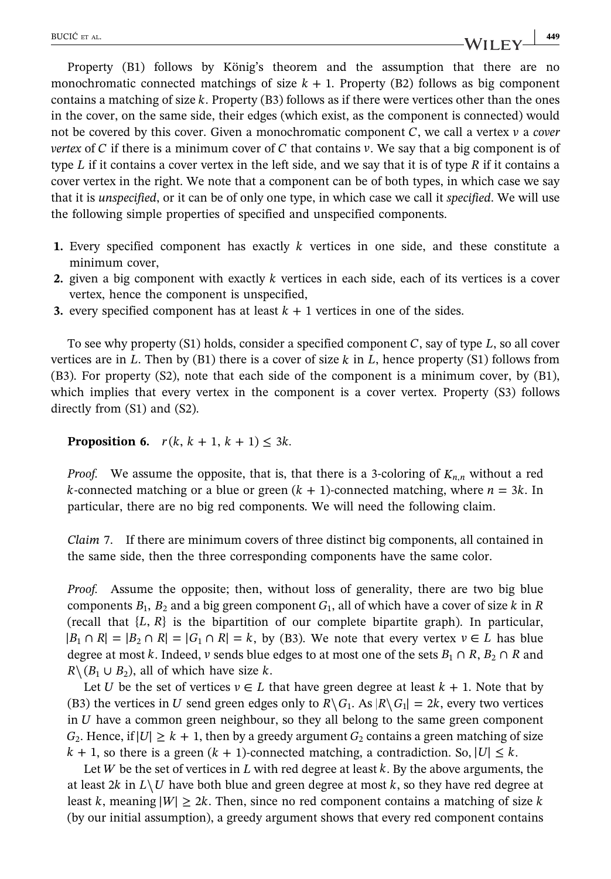Property (B1) follows by König's theorem and the assumption that there are no monochromatic connected matchings of size  $k + 1$ . Property (B2) follows as big component contains a matching of size *k*. Property (B3) follows as if there were vertices other than the ones in the cover, on the same side, their edges (which exist, as the component is connected) would not be covered by this cover. Given a monochromatic component *C*, we call a vertex *v* a cover vertex of *C* if there is a minimum cover of *C* that contains *v*. We say that a big component is of type *L* if it contains a cover vertex in the left side, and we say that it is of type *R* if it contains a cover vertex in the right. We note that a component can be of both types, in which case we say that it is unspecified, or it can be of only one type, in which case we call it specified. We will use the following simple properties of specified and unspecified components.

- 1. Every specified component has exactly *k* vertices in one side, and these constitute a minimum cover,
- 2. given a big component with exactly *k* vertices in each side, each of its vertices is a cover vertex, hence the component is unspecified,
- 3. every specified component has at least  $k + 1$  vertices in one of the sides.

To see why property (S1) holds, consider a specified component *C*, say of type *L*, so all cover vertices are in  $L$ . Then by (B1) there is a cover of size  $k$  in  $L$ , hence property (S1) follows from (B3). For property (S2), note that each side of the component is a minimum cover, by (B1), which implies that every vertex in the component is a cover vertex. Property (S3) follows directly from (S1) and (S2).

**Proposition 6.**  $r(k, k + 1, k + 1) \leq 3k$ .

*Proof.* We assume the opposite, that is, that there is a 3-coloring of  $K_{n,n}$  without a red *k*‐connected matching or a blue or green  $(k + 1)$ ‐connected matching, where  $n = 3k$ . In particular, there are no big red components. We will need the following claim.

Claim 7. If there are minimum covers of three distinct big components, all contained in the same side, then the three corresponding components have the same color.

Proof. Assume the opposite; then, without loss of generality, there are two big blue components  $B_1$ ,  $B_2$  and a big green component  $G_1$ , all of which have a cover of size k in R (recall that  $\{L, R\}$  is the bipartition of our complete bipartite graph). In particular,  $|B_1 \cap R| = |B_2 \cap R| = |G_1 \cap R| = k$ , by (B3). We note that every vertex *v* ∈ *L* has blue degree at most *k*. Indeed, *v* sends blue edges to at most one of the sets  $B_1 \cap R$ ,  $B_2 \cap R$  and  $R \setminus (B_1 \cup B_2)$ , all of which have size *k*.

Let *U* be the set of vertices  $v \in L$  that have green degree at least  $k + 1$ . Note that by (B3) the vertices in *U* send green edges only to  $R \setminus G_1$ . As  $|R \setminus G_1| = 2k$ , every two vertices in *U* have a common green neighbour, so they all belong to the same green component *G*<sub>2</sub>. Hence, if  $|U| \geq k + 1$ , then by a greedy argument *G*<sub>2</sub> contains a green matching of size  $k + 1$ , so there is a green  $(k + 1)$ -connected matching, a contradiction. So,  $|U| \leq k$ .

Let *W* be the set of vertices in *L* with red degree at least *k*. By the above arguments, the at least  $2k$  in  $L \setminus U$  have both blue and green degree at most k, so they have red degree at least *k*, meaning ∣*W*∣ ≥ 2*k*. Then, since no red component contains a matching of size *k* (by our initial assumption), a greedy argument shows that every red component contains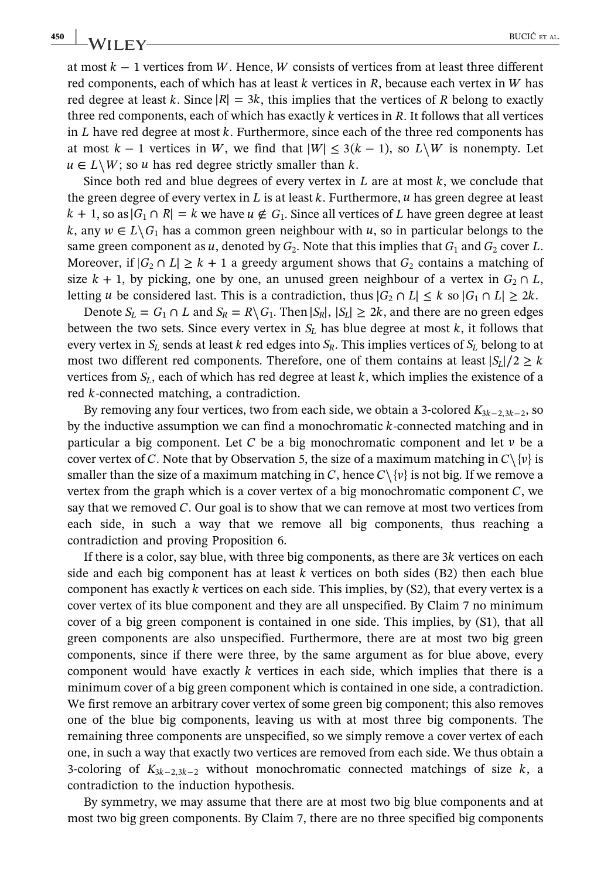450 WILEY BUCIĆ ET AL.

at most *k* − 1 vertices from *W* . Hence, *W* consists of vertices from at least three different red components, each of which has at least *k* vertices in *R*, because each vertex in *W* has red degree at least *k*. Since ∣*R*∣ = 3*k*, this implies that the vertices of *R* belong to exactly three red components, each of which has exactly *k* vertices in *R*. It follows that all vertices in *L* have red degree at most *k*. Furthermore, since each of the three red components has at most  $k - 1$  vertices in *W*, we find that  $|W| \leq 3(k - 1)$ , so  $L \setminus W$  is nonempty. Let  $u \in L \backslash W$ ; so *u* has red degree strictly smaller than *k*.

Since both red and blue degrees of every vertex in *L* are at most *k*, we conclude that the green degree of every vertex in *L* is at least *k*. Furthermore, *u* has green degree at least *k* + 1, so as  $|G_1 \cap R|$  = *k* we have *u* ∉  $G_1$ . Since all vertices of *L* have green degree at least *k*, any  $w \in L \backslash G_1$  has a common green neighbour with *u*, so in particular belongs to the same green component as *u*, denoted by  $G_2$ . Note that this implies that  $G_1$  and  $G_2$  cover *L*. Moreover, if  $|G_2 \cap L| \geq k + 1$  a greedy argument shows that  $G_2$  contains a matching of size  $k + 1$ , by picking, one by one, an unused green neighbour of a vertex in  $G_2 \cap L$ , letting *u* be considered last. This is a contradiction, thus  $|G_2 \cap L| \leq k$  so  $|G_1 \cap L| \geq 2k$ .

Denote  $S_L = G_1 \cap L$  and  $S_R = R \setminus G_1$ . Then  $|S_R|$ ,  $|S_L| \geq 2k$ , and there are no green edges between the two sets. Since every vertex in  $S_L$  has blue degree at most  $k$ , it follows that every vertex in *SL* sends at least *k* red edges into *SR*. This implies vertices of *SL* belong to at most two different red components. Therefore, one of them contains at least  $|S_L|/2 \geq k$ vertices from *SL*, each of which has red degree at least *k*, which implies the existence of a red *k*‐connected matching, a contradiction.

By removing any four vertices, two from each side, we obtain a 3-colored  $K_{3k-2,3k-2}$ , so by the inductive assumption we can find a monochromatic *k*‐connected matching and in particular a big component. Let *C* be a big monochromatic component and let *v* be a cover vertex of *C*. Note that by Observation 5, the size of a maximum matching in  $C \setminus \{v\}$  is smaller than the size of a maximum matching in *C*, hence  $C \setminus \{v\}$  is not big. If we remove a vertex from the graph which is a cover vertex of a big monochromatic component *C*, we say that we removed *C*. Our goal is to show that we can remove at most two vertices from each side, in such a way that we remove all big components, thus reaching a contradiction and proving Proposition 6.

If there is a color, say blue, with three big components, as there are 3*k* vertices on each side and each big component has at least *k* vertices on both sides (B2) then each blue component has exactly *k* vertices on each side. This implies, by (S2), that every vertex is a cover vertex of its blue component and they are all unspecified. By Claim 7 no minimum cover of a big green component is contained in one side. This implies, by (S1), that all green components are also unspecified. Furthermore, there are at most two big green components, since if there were three, by the same argument as for blue above, every component would have exactly *k* vertices in each side, which implies that there is a minimum cover of a big green component which is contained in one side, a contradiction. We first remove an arbitrary cover vertex of some green big component; this also removes one of the blue big components, leaving us with at most three big components. The remaining three components are unspecified, so we simply remove a cover vertex of each one, in such a way that exactly two vertices are removed from each side. We thus obtain a 3-coloring of  $K_{3k-2,3k-2}$  without monochromatic connected matchings of size k, a contradiction to the induction hypothesis.

By symmetry, we may assume that there are at most two big blue components and at most two big green components. By Claim 7, there are no three specified big components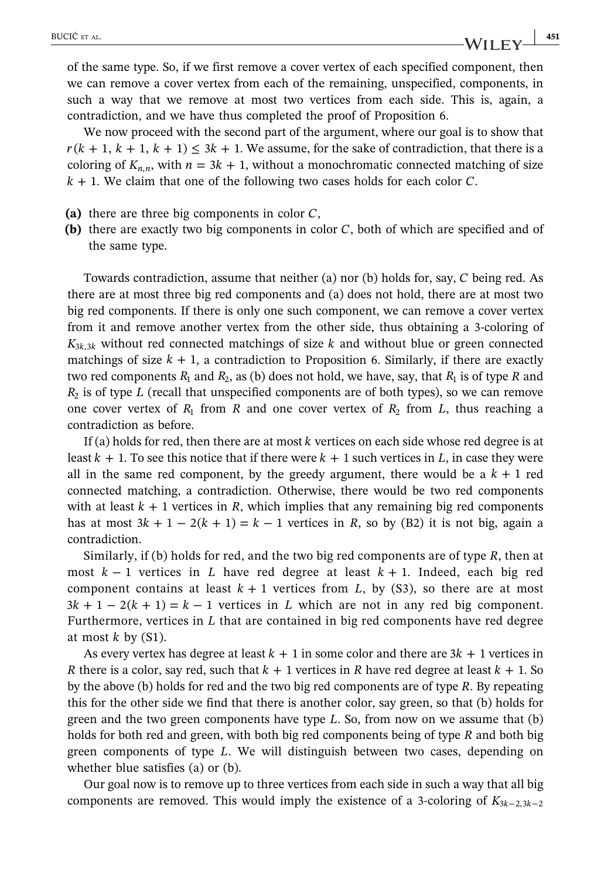of the same type. So, if we first remove a cover vertex of each specified component, then we can remove a cover vertex from each of the remaining, unspecified, components, in such a way that we remove at most two vertices from each side. This is, again, a contradiction, and we have thus completed the proof of Proposition 6.

We now proceed with the second part of the argument, where our goal is to show that  $r(k + 1, k + 1, k + 1) \leq 3k + 1$ . We assume, for the sake of contradiction, that there is a coloring of  $K_{n,n}$ , with  $n = 3k + 1$ , without a monochromatic connected matching of size  $k + 1$ . We claim that one of the following two cases holds for each color  $C$ .

- (a) there are three big components in color *C*,
- (b) there are exactly two big components in color *C*, both of which are specified and of the same type.

Towards contradiction, assume that neither (a) nor (b) holds for, say, *C* being red. As there are at most three big red components and (a) does not hold, there are at most two big red components. If there is only one such component, we can remove a cover vertex from it and remove another vertex from the other side, thus obtaining a 3‐coloring of  $K_{3k,3k}$  without red connected matchings of size *k* and without blue or green connected matchings of size  $k + 1$ , a contradiction to Proposition 6. Similarly, if there are exactly two red components  $R_1$  and  $R_2$ , as (b) does not hold, we have, say, that  $R_1$  is of type  $R$  and *R*<sup>2</sup> is of type *L* (recall that unspecified components are of both types), so we can remove one cover vertex of  $R_1$  from  $R$  and one cover vertex of  $R_2$  from  $L$ , thus reaching a contradiction as before.

If (a) holds for red, then there are at most *k* vertices on each side whose red degree is at least  $k + 1$ . To see this notice that if there were  $k + 1$  such vertices in L, in case they were all in the same red component, by the greedy argument, there would be a  $k + 1$  red connected matching, a contradiction. Otherwise, there would be two red components with at least  $k + 1$  vertices in  $R$ , which implies that any remaining big red components has at most  $3k + 1 - 2(k + 1) = k - 1$  vertices in *R*, so by (B2) it is not big, again a contradiction.

Similarly, if (b) holds for red, and the two big red components are of type *R*, then at most *k* − 1 vertices in *L* have red degree at least *k* + 1. Indeed, each big red component contains at least  $k + 1$  vertices from *L*, by (S3), so there are at most  $3k + 1 - 2(k + 1) = k - 1$  vertices in *L* which are not in any red big component. Furthermore, vertices in *L* that are contained in big red components have red degree at most  $k$  by  $(S1)$ .

As every vertex has degree at least  $k + 1$  in some color and there are  $3k + 1$  vertices in *R* there is a color, say red, such that  $k + 1$  vertices in *R* have red degree at least  $k + 1$ . So by the above (b) holds for red and the two big red components are of type *R*. By repeating this for the other side we find that there is another color, say green, so that (b) holds for green and the two green components have type *L*. So, from now on we assume that (b) holds for both red and green, with both big red components being of type *R* and both big green components of type *L*. We will distinguish between two cases, depending on whether blue satisfies (a) or (b).

Our goal now is to remove up to three vertices from each side in such a way that all big components are removed. This would imply the existence of a 3-coloring of  $K_{3k-2,3k-2}$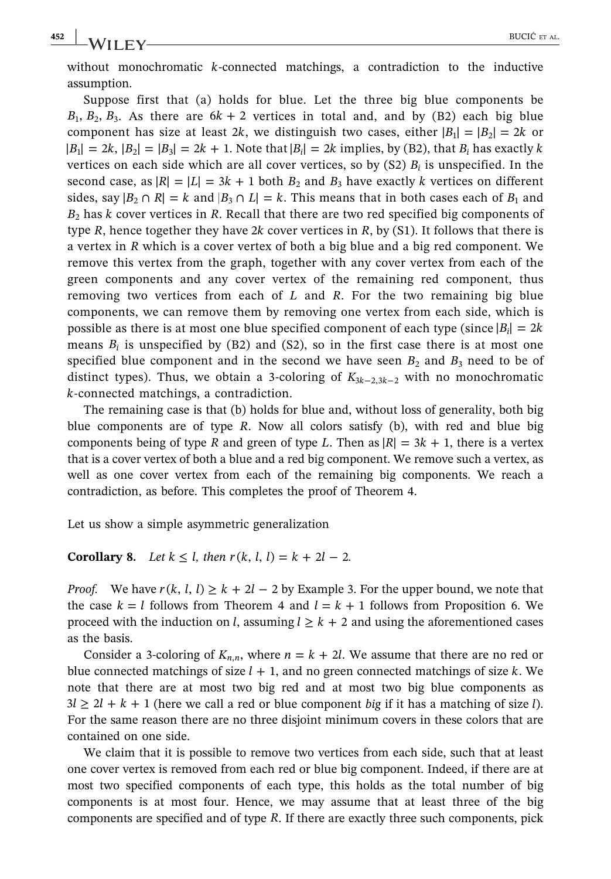$\frac{452}{11}$  WII FY— $\frac{1}{2}$  BUCIĆ ET AL.

without monochromatic *k*-connected matchings, a contradiction to the inductive assumption.

Suppose first that (a) holds for blue. Let the three big blue components be  $B_1, B_2, B_3$ . As there are  $6k + 2$  vertices in total and, and by (B2) each big blue component has size at least 2*k*, we distinguish two cases, either  $|B_1| = |B_2| = 2k$  or  $|B_1| = 2k$ ,  $|B_2| = |B_3| = 2k + 1$ . Note that  $|B_i| = 2k$  implies, by (B2), that  $B_i$  has exactly  $k$ vertices on each side which are all cover vertices, so by  $(S2)$   $B<sub>i</sub>$  is unspecified. In the second case, as  $|R| = |L| = 3k + 1$  both  $B_2$  and  $B_3$  have exactly k vertices on different sides, say  $|B_2 \cap R| = k$  and  $|B_3 \cap L| = k$ . This means that in both cases each of  $B_1$  and *B*<sup>2</sup> has *k* cover vertices in *R*. Recall that there are two red specified big components of type *R*, hence together they have 2*k* cover vertices in *R*, by (S1). It follows that there is a vertex in *R* which is a cover vertex of both a big blue and a big red component. We remove this vertex from the graph, together with any cover vertex from each of the green components and any cover vertex of the remaining red component, thus removing two vertices from each of *L* and *R*. For the two remaining big blue components, we can remove them by removing one vertex from each side, which is possible as there is at most one blue specified component of each type (since  $|B_i| = 2k$ means  $B_i$  is unspecified by (B2) and (S2), so in the first case there is at most one specified blue component and in the second we have seen  $B_2$  and  $B_3$  need to be of distinct types). Thus, we obtain a 3-coloring of  $K_{3k-2,3k-2}$  with no monochromatic *k*‐connected matchings, a contradiction.

The remaining case is that (b) holds for blue and, without loss of generality, both big blue components are of type *R*. Now all colors satisfy (b), with red and blue big components being of type *R* and green of type *L*. Then as  $|R| = 3k + 1$ , there is a vertex that is a cover vertex of both a blue and a red big component. We remove such a vertex, as well as one cover vertex from each of the remaining big components. We reach a contradiction, as before. This completes the proof of Theorem 4.

Let us show a simple asymmetric generalization

**Corollary 8.** Let  $k \leq l$ , then  $r(k, l, l) = k + 2l - 2$ .

*Proof.* We have  $r(k, l, l) \geq k + 2l - 2$  by Example 3. For the upper bound, we note that the case  $k = l$  follows from Theorem 4 and  $l = k + 1$  follows from Proposition 6. We proceed with the induction on *l*, assuming  $l \geq k + 2$  and using the aforementioned cases as the basis.

Consider a 3-coloring of  $K_{n,n}$ , where  $n = k + 2l$ . We assume that there are no red or blue connected matchings of size  $l + 1$ , and no green connected matchings of size  $k$ . We note that there are at most two big red and at most two big blue components as  $3l \geq 2l + k + 1$  (here we call a red or blue component big if it has a matching of size *l*). For the same reason there are no three disjoint minimum covers in these colors that are contained on one side.

We claim that it is possible to remove two vertices from each side, such that at least one cover vertex is removed from each red or blue big component. Indeed, if there are at most two specified components of each type, this holds as the total number of big components is at most four. Hence, we may assume that at least three of the big components are specified and of type *R*. If there are exactly three such components, pick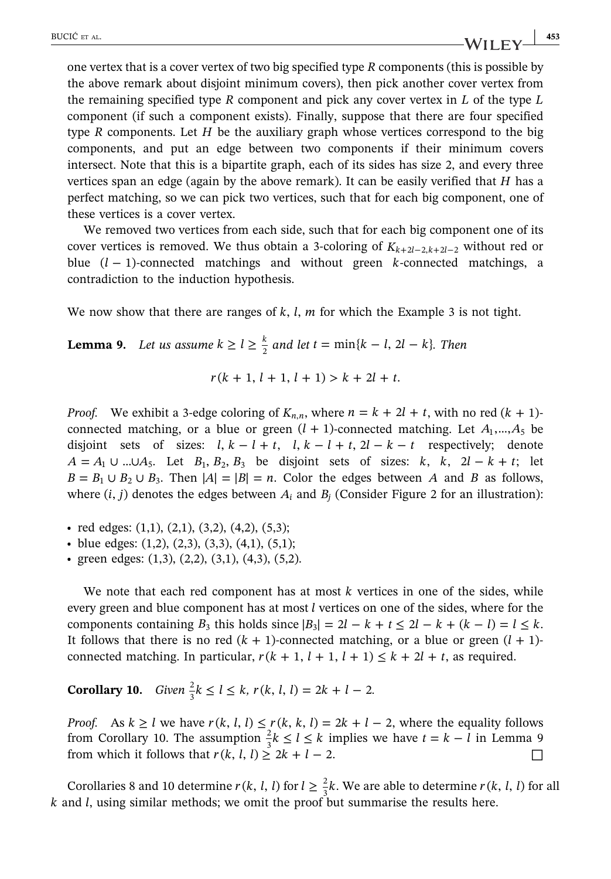one vertex that is a cover vertex of two big specified type *R* components (this is possible by the above remark about disjoint minimum covers), then pick another cover vertex from the remaining specified type *R* component and pick any cover vertex in *L* of the type *L* component (if such a component exists). Finally, suppose that there are four specified type *R* components. Let *H* be the auxiliary graph whose vertices correspond to the big components, and put an edge between two components if their minimum covers intersect. Note that this is a bipartite graph, each of its sides has size 2, and every three vertices span an edge (again by the above remark). It can be easily verified that *H* has a perfect matching, so we can pick two vertices, such that for each big component, one of these vertices is a cover vertex.

We removed two vertices from each side, such that for each big component one of its cover vertices is removed. We thus obtain a 3-coloring of  $K_{k+2l-2,k+2l-2}$  without red or blue (*l* − 1)‐connected matchings and without green *k*‐connected matchings, a contradiction to the induction hypothesis.

We now show that there are ranges of  $k$ ,  $l$ ,  $m$  for which the Example 3 is not tight.

**Lemma 9.** Let us assume  $k \geq l \geq \frac{k}{2}$  and let  $t = \min\{k - l, 2l - k\}$ . Then

$$
r(k+1, l+1, l+1) > k + 2l + t.
$$

*Proof.* We exhibit a 3-edge coloring of  $K_{n,n}$ , where  $n = k + 2l + t$ , with no red  $(k + 1)$ connected matching, or a blue or green  $(l + 1)$ -connected matching. Let  $A_1, \dots, A_5$  be disjoint sets of sizes:  $l, k - l + t, l, k - l + t, 2l - k - t$  respectively; denote  $A = A_1 \cup ... \cup A_5$ . Let  $B_1, B_2, B_3$  be disjoint sets of sizes: *k*, *k*, 2*l* − *k* + *t*; let  $B = B_1 \cup B_2 \cup B_3$ . Then  $|A| = |B| = n$ . Color the edges between *A* and *B* as follows, where  $(i, j)$  denotes the edges between  $A_i$  and  $B_j$  (Consider Figure 2 for an illustration):

- red edges:  $(1,1)$ ,  $(2,1)$ ,  $(3,2)$ ,  $(4,2)$ ,  $(5,3)$ ;
- blue edges:  $(1,2)$ ,  $(2,3)$ ,  $(3,3)$ ,  $(4,1)$ ,  $(5,1)$ ;
- green edges:  $(1,3)$ ,  $(2,2)$ ,  $(3,1)$ ,  $(4,3)$ ,  $(5,2)$ .

We note that each red component has at most *k* vertices in one of the sides, while every green and blue component has at most *l* vertices on one of the sides, where for the components containing *B*<sub>3</sub> this holds since  $|B_3| = 2l - k + t \le 2l - k + (k - l) = l \le k$ . It follows that there is no red  $(k + 1)$ -connected matching, or a blue or green  $(l + 1)$ connected matching. In particular,  $r(k + 1, l + 1, l + 1) \le k + 2l + t$ , as required.

**Corollary 10.** Given  $\frac{2}{3}k \le l \le k$ ,  $r(k, l, l) = 2k + l - 2$ .

*Proof.* As  $k \geq l$  we have  $r(k, l, l) \leq r(k, k, l) = 2k + l - 2$ , where the equality follows from Corollary 10. The assumption  $\frac{2}{3}k \le l \le k$  implies we have  $t = k - l$  in Lemma 9 from which it follows that  $r(k, l, l) \geq 2k + l - 2$ .

Corollaries 8 and 10 determine  $r(k, l, l)$  for  $l \geq \frac{2}{3}k$ . We are able to determine  $r(k, l, l)$  for all *k* and *l*, using similar methods; we omit the proof but summarise the results here.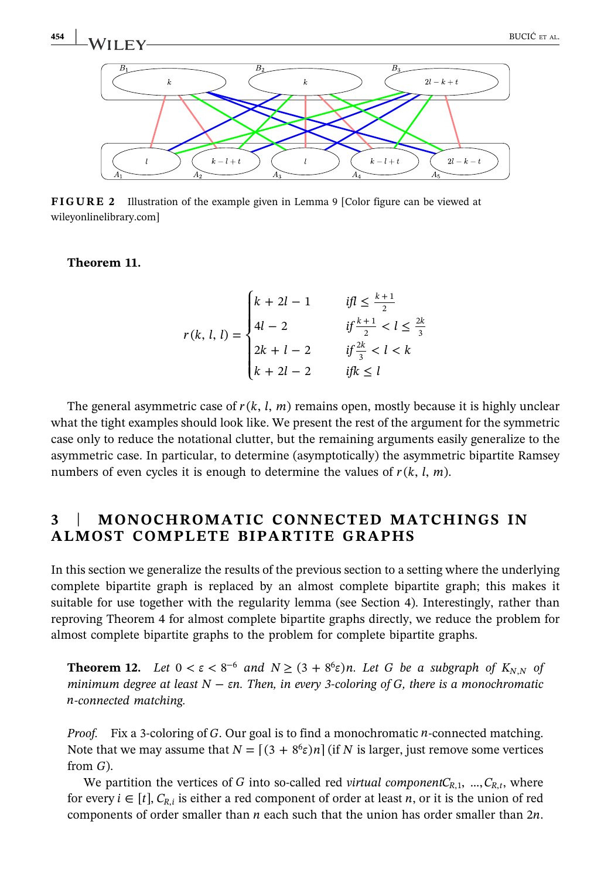

FIGURE 2 Illustration of the example given in Lemma 9 [Color figure can be viewed at wileyonlinelibrary.com]

Theorem 11.

$$
r(k, l, l) = \begin{cases} k + 2l - 1 & \text{if } l \leq \frac{k+1}{2} \\ 4l - 2 & \text{if } \frac{k+1}{2} < l \leq \frac{2k}{3} \\ 2k + l - 2 & \text{if } \frac{2k}{3} < l < k \\ k + 2l - 2 & \text{if } k \leq l \end{cases}
$$

The general asymmetric case of  $r(k, l, m)$  remains open, mostly because it is highly unclear what the tight examples should look like. We present the rest of the argument for the symmetric case only to reduce the notational clutter, but the remaining arguments easily generalize to the asymmetric case. In particular, to determine (asymptotically) the asymmetric bipartite Ramsey numbers of even cycles it is enough to determine the values of  $r(k, l, m)$ .

## 3 | MONOCHROMATIC CONNECTED MATCHINGS IN ALMOST COMPLETE BIPARTITE GRAPHS

In this section we generalize the results of the previous section to a setting where the underlying complete bipartite graph is replaced by an almost complete bipartite graph; this makes it suitable for use together with the regularity lemma (see Section 4). Interestingly, rather than reproving Theorem 4 for almost complete bipartite graphs directly, we reduce the problem for almost complete bipartite graphs to the problem for complete bipartite graphs.

**Theorem 12.** Let  $0 < \varepsilon < 8^{-6}$  and  $N \ge (3 + 8^6 \varepsilon)n$ . Let G be a subgraph of  $K_{N,N}$  of minimum degree at least *N* − *εn*. Then, in every 3‐coloring of *G*, there is a monochromatic *n*‐connected matching.

Proof. Fix a 3‐coloring of *G*. Our goal is to find a monochromatic *n*‐connected matching. Note that we may assume that  $N = [(3 + 8^6 \varepsilon)n]$  (if *N* is larger, just remove some vertices from *G*).

We partition the vertices of *G* into so-called red *virtual component* $C_{R,1}$ , …,  $C_{R,t}$ , where for every  $i \in [t]$ ,  $C_{R,i}$  is either a red component of order at least *n*, or it is the union of red components of order smaller than *n* each such that the union has order smaller than 2*n*.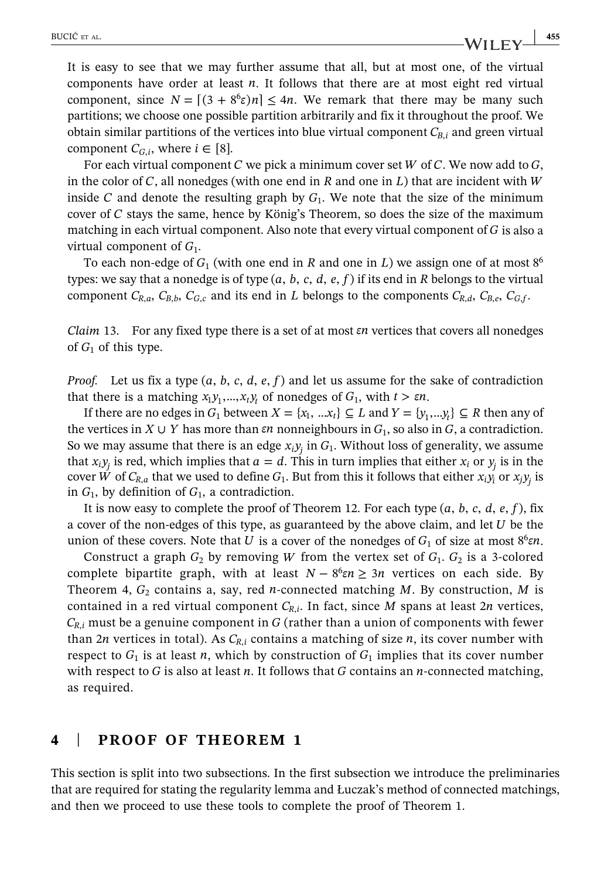BUCIĆ ET AL.  $\frac{455}{1000}$ 

It is easy to see that we may further assume that all, but at most one, of the virtual components have order at least *n*. It follows that there are at most eight red virtual component, since  $N = [(3 + 8^6 \varepsilon)n] \leq 4n$ . We remark that there may be many such partitions; we choose one possible partition arbitrarily and fix it throughout the proof. We obtain similar partitions of the vertices into blue virtual component  $C_{B,i}$  and green virtual component  $C_{G,i}$ , where  $i \in [8]$ .

For each virtual component *C* we pick a minimum cover set *W* of *C*. We now add to *G*, in the color of *C*, all nonedges (with one end in *R* and one in *L*) that are incident with *W* inside *C* and denote the resulting graph by  $G_1$ . We note that the size of the minimum cover of *C* stays the same, hence by König's Theorem, so does the size of the maximum matching in each virtual component. Also note that every virtual component of *G* is also a virtual component of *G*1.

To each non-edge of  $G_1$  (with one end in *R* and one in *L*) we assign one of at most  $8^6$ types: we say that a nonedge is of type  $(a, b, c, d, e, f)$  if its end in *R* belongs to the virtual component  $C_{R,a}$ ,  $C_{B,b}$ ,  $C_{G,c}$  and its end in *L* belongs to the components  $C_{R,d}$ ,  $C_{B,e}$ ,  $C_{G,f}$ .

Claim 13. For any fixed type there is a set of at most *εn* vertices that covers all nonedges of  $G_1$  of this type.

*Proof.* Let us fix a type  $(a, b, c, d, e, f)$  and let us assume for the sake of contradiction that there is a matching  $x_1y_1, \ldots, x_ty_t$  of nonedges of  $G_1$ , with  $t > \varepsilon n$ .

If there are no edges in  $G_1$  between  $X = \{x_1, \dots, x_t\} \subseteq L$  and  $Y = \{y_1, \dots, y_t\} \subseteq R$  then any of the vertices in *X* ∪ *Y* has more than  $ε$ *n* nonneighbours in  $G_1$ , so also in  $G$ , a contradiction. So we may assume that there is an edge  $x_i y_i$  in  $G_1$ . Without loss of generality, we assume that  $x_i y_j$  is red, which implies that  $a = d$ . This in turn implies that either  $x_i$  or  $y_j$  is in the cover *W* of  $C_{R,a}$  that we used to define  $G_1$ . But from this it follows that either  $x_iy_i$  or  $x_iy_j$  is in  $G_1$ , by definition of  $G_1$ , a contradiction.

It is now easy to complete the proof of Theorem 12. For each type  $(a, b, c, d, e, f)$ , fix a cover of the non‐edges of this type, as guaranteed by the above claim, and let *U* be the union of these covers. Note that *U* is a cover of the nonedges of  $G_1$  of size at most  $8^6 \epsilon n$ .

Construct a graph  $G_2$  by removing *W* from the vertex set of  $G_1$ .  $G_2$  is a 3-colored complete bipartite graph, with at least  $N - 8^6 \epsilon n \geq 3n$  vertices on each side. By Theorem 4,  $G_2$  contains a, say, red *n*-connected matching *M*. By construction, *M* is contained in a red virtual component  $C_{R,i}$ . In fact, since M spans at least 2*n* vertices, *CR i*, must be a genuine component in *G* (rather than a union of components with fewer than 2*n* vertices in total). As  $C_{R_i}$  contains a matching of size *n*, its cover number with respect to  $G_1$  is at least *n*, which by construction of  $G_1$  implies that its cover number with respect to  $G$  is also at least  $n$ . It follows that  $G$  contains an  $n$ -connected matching, as required.

## 4 | PROOF OF THEOREM 1

This section is split into two subsections. In the first subsection we introduce the preliminaries that are required for stating the regularity lemma and Łuczak's method of connected matchings, and then we proceed to use these tools to complete the proof of Theorem 1.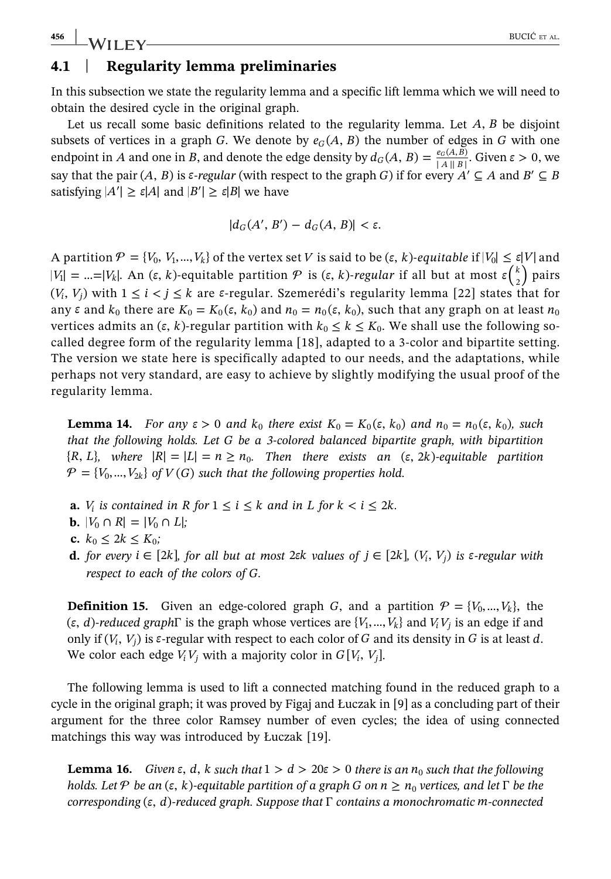WILEY-RESERVED BUCIĆ ET AL.

# 4.1 | Regularity lemma preliminaries

In this subsection we state the regularity lemma and a specific lift lemma which we will need to obtain the desired cycle in the original graph.

Let us recall some basic definitions related to the regularity lemma. Let *A*, *B* be disjoint subsets of vertices in a graph *G*. We denote by  $e_G(A, B)$  the number of edges in *G* with one endpoint in *A* and one in *B*, and denote the edge density by  $d_G(A, B) = \frac{e_G(A, B)}{|A||B|}$ . Given  $\varepsilon > 0$ , we say that the pair  $(A, B)$  is *ε*-regular (with respect to the graph *G*) if for every  $A' \subseteq A$  and  $B' \subseteq B$ satisfying  $|A'| \ge \varepsilon |A|$  and  $|B'| \ge \varepsilon |B|$  we have

$$
|d_G(A', B') - d_G(A, B)| < \varepsilon.
$$

A partition  $\mathcal{P} = \{V_0, V_1, ..., V_k\}$  of the vertex set *V* is said to be  $(\varepsilon, k)$ -equitable if  $|V_0| \leq \varepsilon |V|$  and *|V<sub>1</sub>*| = ...=*|V<sub>k</sub>*|. An (*ε*, *k*)-equitable partition  $P$  is (*ε*, *k*)-*regular* if all but at most  $\epsilon \binom{k}{2}$  pairs  $(V_i, V_i)$  with  $1 \le i < j \le k$  are *ε*-regular. Szemerédi's regularity lemma [22] states that for any  $\varepsilon$  and  $k_0$  there are  $K_0 = K_0(\varepsilon, k_0)$  and  $n_0 = n_0(\varepsilon, k_0)$ , such that any graph on at least  $n_0$ vertices admits an  $(\varepsilon, k)$ -regular partition with  $k_0 \le k \le K_0$ . We shall use the following socalled degree form of the regularity lemma [18], adapted to a 3‐color and bipartite setting. The version we state here is specifically adapted to our needs, and the adaptations, while perhaps not very standard, are easy to achieve by slightly modifying the usual proof of the regularity lemma.

**Lemma 14.** For any  $ε > 0$  and  $k_0$  there exist  $K_0 = K_0(ε, k_0)$  and  $n_0 = n_0(ε, k_0)$ , such that the following holds. Let *G* be a 3‐colored balanced bipartite graph, with bipartition  ${R, L}$ , where  $|R| = |L| = n \ge n_0$ . Then there exists an ( $\varepsilon$ , 2*k*)-equitable partition  $P = \{V_0, ..., V_{2k}\}\$  of  $V(G)$  such that the following properties hold.

- **a.** *V<sub>i</sub>* is contained in *R* for  $1 \leq i \leq k$  and in *L* for  $k < i \leq 2k$ .
- **b.**  $|V_0 \cap R| = |V_0 \cap L|$ ;
- **c.**  $k_0 \leq 2k \leq K_0$ ;
- **d.** for every *i* ∈ [2*k*], for all but at most 2ε*k* values of *j* ∈ [2*k*], (*V<sub>i</sub>*, *V<sub>i</sub>*) is ε-regular with respect to each of the colors of *G*.

**Definition 15.** Given an edge-colored graph *G*, and a partition  $P = \{V_0, ..., V_k\}$ , the  $(\varepsilon, d)$ -reduced graphΓ is the graph whose vertices are  $\{V_1, ..., V_k\}$  and  $V_i V_j$  is an edge if and only if  $(V_i, V_j)$  is  $\epsilon$ -regular with respect to each color of *G* and its density in *G* is at least *d*. We color each edge  $V_i V_j$  with a majority color in  $G[V_i, V_j]$ .

The following lemma is used to lift a connected matching found in the reduced graph to a cycle in the original graph; it was proved by Figaj and Łuczak in [9] as a concluding part of their argument for the three color Ramsey number of even cycles; the idea of using connected matchings this way was introduced by Łuczak [19].

**Lemma 16.** Given ε, d, k such that  $1 > d > 20$ ε > 0 there is an  $n_0$  such that the following holds. Let P be an ( $\varepsilon$ , k)-equitable partition of a graph *G* on  $n \ge n_0$  vertices, and let Γ be the corresponding (*ε*, ) *d* ‐reduced graph. Suppose that Γ contains a monochromatic *m*‐connected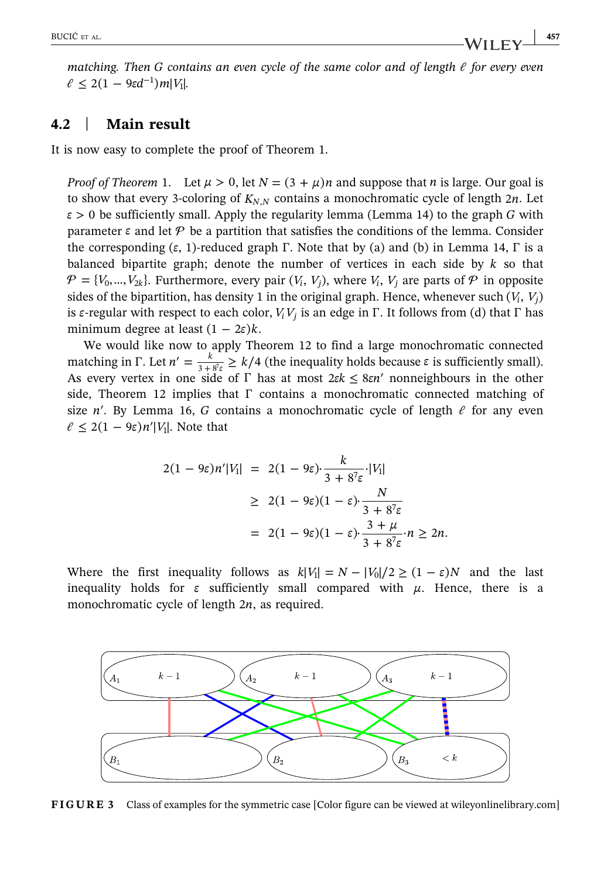matching. Then *G* contains an even cycle of the same color and of length  $\ell$  for every even  $\ell \leq 2(1 - 9\epsilon d^{-1}) m|V_1|$ .

#### 4.2 | Main result

It is now easy to complete the proof of Theorem 1.

*Proof of Theorem* 1. Let  $\mu > 0$ , let  $N = (3 + \mu)n$  and suppose that *n* is large. Our goal is to show that every 3-coloring of  $K_{N}$ <sub>N</sub> contains a monochromatic cycle of length 2*n*. Let *ε* > 0 be sufficiently small. Apply the regularity lemma (Lemma 14) to the graph *G* with parameter  $\varepsilon$  and let  $P$  be a partition that satisfies the conditions of the lemma. Consider the corresponding  $(ε, 1)$ -reduced graph Γ. Note that by (a) and (b) in Lemma 14, Γ is a balanced bipartite graph; denote the number of vertices in each side by *k* so that  $\mathcal{P} = \{V_0, ..., V_{2k}\}.$  Furthermore, every pair  $(V_i, V_j)$ , where  $V_i, V_j$  are parts of  $\mathcal{P}$  in opposite sides of the bipartition, has density 1 in the original graph. Hence, whenever such  $(V_i, V_i)$ is *ε*-regular with respect to each color,  $V_i V_i$  is an edge in Γ. It follows from (d) that Γ has minimum degree at least  $(1 - 2\varepsilon)k$ .

We would like now to apply Theorem 12 to find a large monochromatic connected matching in Γ. Let  $n' = \frac{k}{3+8^2\varepsilon} \ge k/4$  (the inequality holds because  $\varepsilon$  is sufficiently small). As every vertex in one side of  $\Gamma$  has at most  $2\varepsilon k \leq 8\varepsilon n'$  nonneighbours in the other side, Theorem 12 implies that  $\Gamma$  contains a monochromatic connected matching of size  $n'$ . By Lemma 16, *G* contains a monochromatic cycle of length  $\ell$  for any even  $\ell \leq 2(1 - 9\varepsilon)n'|V_1|$ . Note that

$$
2(1 - 9\varepsilon)n'|V_1| = 2(1 - 9\varepsilon) \cdot \frac{k}{3 + 8^7\varepsilon} \cdot |V_1|
$$
  
\n
$$
\geq 2(1 - 9\varepsilon)(1 - \varepsilon) \cdot \frac{N}{3 + 8^7\varepsilon}
$$
  
\n
$$
= 2(1 - 9\varepsilon)(1 - \varepsilon) \cdot \frac{3 + \mu}{3 + 8^7\varepsilon} \cdot n \geq 2n.
$$

Where the first inequality follows as  $k|V_1| = N - |V_0|/2 \geq (1 - \varepsilon)N$  and the last inequality holds for  $\varepsilon$  sufficiently small compared with  $\mu$ . Hence, there is a monochromatic cycle of length 2*n*, as required.



FIGURE 3 Class of examples for the symmetric case [Color figure can be viewed at wileyonlinelibrary.com]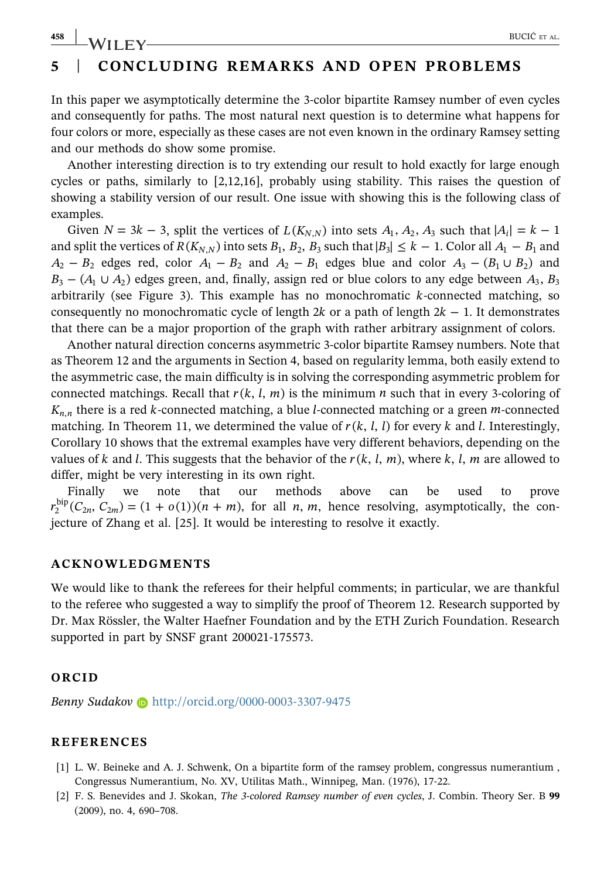#### **458 IMALLEY** BUCIC ET AL.

## 5 | CONCLUDING REMARKS AND OPEN PROBLEMS

In this paper we asymptotically determine the 3‐color bipartite Ramsey number of even cycles and consequently for paths. The most natural next question is to determine what happens for four colors or more, especially as these cases are not even known in the ordinary Ramsey setting and our methods do show some promise.

Another interesting direction is to try extending our result to hold exactly for large enough cycles or paths, similarly to [2,12,16], probably using stability. This raises the question of showing a stability version of our result. One issue with showing this is the following class of examples.

Given  $N = 3k - 3$ , split the vertices of  $L(K_{N,N})$  into sets  $A_1, A_2, A_3$  such that  $|A_i| = k - 1$ and split the vertices of  $R(K_{N,N})$  into sets  $B_1, B_2, B_3$  such that  $|B_3| \leq k - 1$ . Color all  $A_1 - B_1$  and  $A_2 - B_2$  edges red, color  $A_1 - B_2$  and  $A_2 - B_1$  edges blue and color  $A_3 - (B_1 \cup B_2)$  and  $B_3 - (A_1 \cup A_2)$  edges green, and, finally, assign red or blue colors to any edge between  $A_3$ ,  $B_3$ arbitrarily (see Figure 3). This example has no monochromatic *k*‐connected matching, so consequently no monochromatic cycle of length 2*k* or a path of length  $2k - 1$ . It demonstrates that there can be a major proportion of the graph with rather arbitrary assignment of colors.

Another natural direction concerns asymmetric 3‐color bipartite Ramsey numbers. Note that as Theorem 12 and the arguments in Section 4, based on regularity lemma, both easily extend to the asymmetric case, the main difficulty is in solving the corresponding asymmetric problem for connected matchings. Recall that  $r(k, l, m)$  is the minimum *n* such that in every 3-coloring of *Kn n*, there is a red *k*‐connected matching, a blue *l*‐connected matching or a green *m*‐connected matching. In Theorem 11, we determined the value of  $r(k, l, l)$  for every  $k$  and  $l$ . Interestingly, Corollary 10 shows that the extremal examples have very different behaviors, depending on the values of *k* and *l*. This suggests that the behavior of the  $r(k, l, m)$ , where *k*, *l*, *m* are allowed to differ, might be very interesting in its own right.

Finally we note that our methods above can be used to prove  $r_2^{\text{bip}}(C_{2n}, C_{2m}) = (1 + o(1))(n + m)$ , for all *n*, *m*, hence resolving, asymptotically, the conjecture of Zhang et al. [25]. It would be interesting to resolve it exactly.

#### ACKNOWLEDGMENTS

We would like to thank the referees for their helpful comments; in particular, we are thankful to the referee who suggested a way to simplify the proof of Theorem 12. Research supported by Dr. Max Rössler, the Walter Haefner Foundation and by the ETH Zurich Foundation. Research supported in part by SNSF grant 200021-175573.

#### ORCID

Benny Sudakov **b** <http://orcid.org/0000-0003-3307-9475>

#### REFERENCES

- [1] L. W. Beineke and A. J. Schwenk, On a bipartite form of the ramsey problem, congressus numerantium , Congressus Numerantium, No. XV, Utilitas Math., Winnipeg, Man. (1976), 17‐22.
- [2] F. S. Benevides and J. Skokan, The 3-colored Ramsey number of even cycles, J. Combin. Theory Ser. B 99 (2009), no. 4, 690–708.